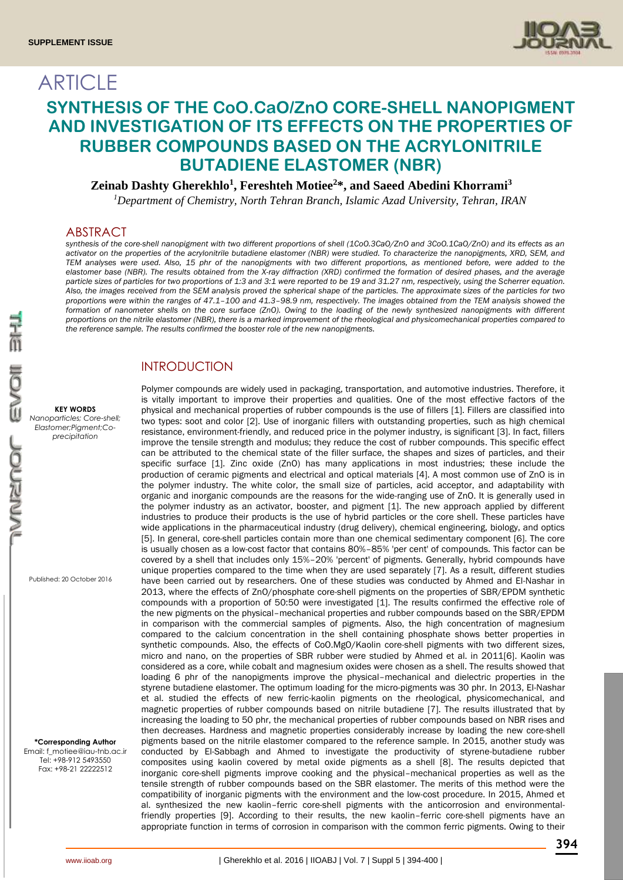**ARTICLE** 



# **SYNTHESIS OF THE CoO.CaO/ZnO CORE-SHELL NANOPIGMENT AND INVESTIGATION OF ITS EFFECTS ON THE PROPERTIES OF RUBBER COMPOUNDS BASED ON THE ACRYLONITRILE BUTADIENE ELASTOMER (NBR)**

### **Zeinab Dashty Gherekhlo<sup>1</sup> , Fereshteh Motiee<sup>2</sup>\*, and Saeed Abedini Khorrami<sup>3</sup>**

*<sup>1</sup>Department of Chemistry, North Tehran Branch, Islamic Azad University, Tehran, IRAN*

#### ABSTRACT

*synthesis of the core-shell nanopigment with two different proportions of shell (1CoO.3CaO/ZnO and 3CoO.1CaO/ZnO) and its effects as an activator on the properties of the acrylonitrile butadiene elastomer (NBR) were studied. To characterize the nanopigments, XRD, SEM, and TEM analyses were used. Also, 15 phr of the nanopigments with two different proportions, as mentioned before, were added to the elastomer base (NBR). The results obtained from the X-ray diffraction (XRD) confirmed the formation of desired phases, and the average particle sizes of particles for two proportions of 1:3 and 3:1 were reported to be 19 and 31.27 nm, respectively, using the Scherrer equation. Also, the images received from the SEM analysis proved the spherical shape of the particles. The approximate sizes of the particles for two proportions were within the ranges of 47.1–100 and 41.3–98.9 nm, respectively. The images obtained from the TEM analysis showed the formation of nanometer shells on the core surface (ZnO). Owing to the loading of the newly synthesized nanopigments with different proportions on the nitrile elastomer (NBR), there is a marked improvement of the rheological and physicomechanical properties compared to the reference sample. The results confirmed the booster role of the new nanopigments.*

### INTRODUCTION

Polymer compounds are widely used in packaging, transportation, and automotive industries. Therefore, it is vitally important to improve their properties and qualities. One of the most effective factors of the physical and mechanical properties of rubber compounds is the use of fillers [1]. Fillers are classified into two types: soot and color [2]. Use of inorganic fillers with outstanding properties, such as high chemical resistance, environment-friendly, and reduced price in the polymer industry, is significant [3]. In fact, fillers improve the tensile strength and modulus; they reduce the cost of rubber compounds. This specific effect can be attributed to the chemical state of the filler surface, the shapes and sizes of particles, and their specific surface [1]. Zinc oxide (ZnO) has many applications in most industries; these include the production of ceramic pigments and electrical and optical materials [4]. A most common use of ZnO is in the polymer industry. The white color, the small size of particles, acid acceptor, and adaptability with organic and inorganic compounds are the reasons for the wide-ranging use of ZnO. It is generally used in the polymer industry as an activator, booster, and pigment [1]. The new approach applied by different industries to produce their products is the use of hybrid particles or the core shell. These particles have wide applications in the pharmaceutical industry (drug delivery), chemical engineering, biology, and optics [5]. In general, core-shell particles contain more than one chemical sedimentary component [6]. The core is usually chosen as a low-cost factor that contains 80%–85% 'per cent' of compounds. This factor can be covered by a shell that includes only 15%–20% 'percent' of pigments. Generally, hybrid compounds have unique properties compared to the time when they are used separately [7]. As a result, different studies have been carried out by researchers. One of these studies was conducted by Ahmed and El-Nashar in 2013, where the effects of ZnO/phosphate core-shell pigments on the properties of SBR/EPDM synthetic compounds with a proportion of 50:50 were investigated [1]. The results confirmed the effective role of the new pigments on the physical–mechanical properties and rubber compounds based on the SBR/EPDM in comparison with the commercial samples of pigments. Also, the high concentration of magnesium compared to the calcium concentration in the shell containing phosphate shows better properties in synthetic compounds. Also, the effects of CoO.MgO/Kaolin core-shell pigments with two different sizes, micro and nano, on the properties of SBR rubber were studied by Ahmed et al. in 2011[6]. Kaolin was considered as a core, while cobalt and magnesium oxides were chosen as a shell. The results showed that loading 6 phr of the nanopigments improve the physical–mechanical and dielectric properties in the styrene butadiene elastomer. The optimum loading for the micro-pigments was 30 phr. In 2013, El-Nashar et al. studied the effects of new ferric-kaolin pigments on the rheological, physicomechanical, and magnetic properties of rubber compounds based on nitrile butadiene [7]. The results illustrated that by increasing the loading to 50 phr, the mechanical properties of rubber compounds based on NBR rises and then decreases. Hardness and magnetic properties considerably increase by loading the new core-shell pigments based on the nitrile elastomer compared to the reference sample. In 2015, another study was conducted by El-Sabbagh and Ahmed to investigate the productivity of styrene-butadiene rubber composites using kaolin covered by metal oxide pigments as a shell [8]. The results depicted that inorganic core-shell pigments improve cooking and the physical–mechanical properties as well as the tensile strength of rubber compounds based on the SBR elastomer. The merits of this method were the compatibility of inorganic pigments with the environment and the low-cost procedure. In 2015, Ahmed et al. synthesized the new kaolin–ferric core-shell pigments with the anticorrosion and environmentalfriendly properties [9]. According to their results, the new kaolin–ferric core-shell pigments have an appropriate function in terms of corrosion in comparison with the common ferric pigments. Owing to their

Published: 20 October 2016

**KEY WORDS**

*Elastomer;Pigment;Coprecipitation*

**\*Corresponding Author** Email: f\_motiee@iau-tnb.ac.ir Tel: +98-912 5493550 Fax: +98-21 22222512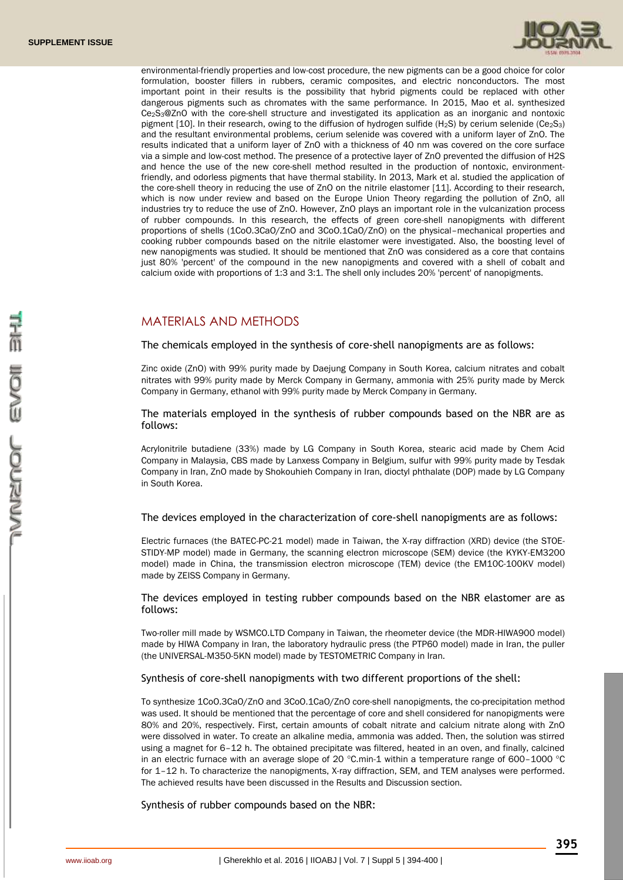

environmental-friendly properties and low-cost procedure, the new pigments can be a good choice for color formulation, booster fillers in rubbers, ceramic composites, and electric nonconductors. The most important point in their results is the possibility that hybrid pigments could be replaced with other dangerous pigments such as chromates with the same performance. In 2015, Mao et al. synthesized Ce2S3@ZnO with the core-shell structure and investigated its application as an inorganic and nontoxic pigment  $[10]$ . In their research, owing to the diffusion of hydrogen sulfide (H<sub>2</sub>S) by cerium selenide (Ce<sub>2</sub>S<sub>3</sub>) and the resultant environmental problems, cerium selenide was covered with a uniform layer of ZnO. The results indicated that a uniform layer of ZnO with a thickness of 40 nm was covered on the core surface via a simple and low-cost method. The presence of a protective layer of ZnO prevented the diffusion of H2S and hence the use of the new core-shell method resulted in the production of nontoxic, environmentfriendly, and odorless pigments that have thermal stability. In 2013, Mark et al. studied the application of the core-shell theory in reducing the use of ZnO on the nitrile elastomer [11]. According to their research, which is now under review and based on the Europe Union Theory regarding the pollution of ZnO, all industries try to reduce the use of ZnO. However, ZnO plays an important role in the vulcanization process of rubber compounds. In this research, the effects of green core-shell nanopigments with different proportions of shells (1CoO.3CaO/ZnO and 3CoO.1CaO/ZnO) on the physical–mechanical properties and cooking rubber compounds based on the nitrile elastomer were investigated. Also, the boosting level of new nanopigments was studied. It should be mentioned that ZnO was considered as a core that contains just 80% 'percent' of the compound in the new nanopigments and covered with a shell of cobalt and calcium oxide with proportions of 1:3 and 3:1. The shell only includes 20% 'percent' of nanopigments.

## MATERIALS AND METHODS

The chemicals employed in the synthesis of core-shell nanopigments are as follows:

Zinc oxide (ZnO) with 99% purity made by Daejung Company in South Korea, calcium nitrates and cobalt nitrates with 99% purity made by Merck Company in Germany, ammonia with 25% purity made by Merck Company in Germany, ethanol with 99% purity made by Merck Company in Germany.

The materials employed in the synthesis of rubber compounds based on the NBR are as follows:

Acrylonitrile butadiene (33%) made by LG Company in South Korea, stearic acid made by Chem Acid Company in Malaysia, CBS made by Lanxess Company in Belgium, sulfur with 99% purity made by Tesdak Company in Iran, ZnO made by Shokouhieh Company in Iran, dioctyl phthalate (DOP) made by LG Company in South Korea.

The devices employed in the characterization of core-shell nanopigments are as follows:

Electric furnaces (the BATEC-PC-21 model) made in Taiwan, the X-ray diffraction (XRD) device (the STOE-STIDY-MP model) made in Germany, the scanning electron microscope (SEM) device (the KYKY-EM3200 model) made in China, the transmission electron microscope (TEM) device (the EM10C-100KV model) made by ZEISS Company in Germany.

The devices employed in testing rubber compounds based on the NBR elastomer are as follows:

Two-roller mill made by WSMCO.LTD Company in Taiwan, the rheometer device (the MDR-HIWA900 model) made by HIWA Company in Iran, the laboratory hydraulic press (the PTP60 model) made in Iran, the puller (the UNIVERSAL-M350-5KN model) made by TESTOMETRIC Company in Iran.

#### Synthesis of core-shell nanopigments with two different proportions of the shell:

To synthesize 1CoO.3CaO/ZnO and 3CoO.1CaO/ZnO core-shell nanopigments, the co-precipitation method was used. It should be mentioned that the percentage of core and shell considered for nanopigments were 80% and 20%, respectively. First, certain amounts of cobalt nitrate and calcium nitrate along with ZnO were dissolved in water. To create an alkaline media, ammonia was added. Then, the solution was stirred using a magnet for 6–12 h. The obtained precipitate was filtered, heated in an oven, and finally, calcined in an electric furnace with an average slope of 20  $^{\circ}$ C.min-1 within a temperature range of 600-1000  $^{\circ}$ C for 1–12 h. To characterize the nanopigments, X-ray diffraction, SEM, and TEM analyses were performed. The achieved results have been discussed in the Results and Discussion section.

Synthesis of rubber compounds based on the NBR: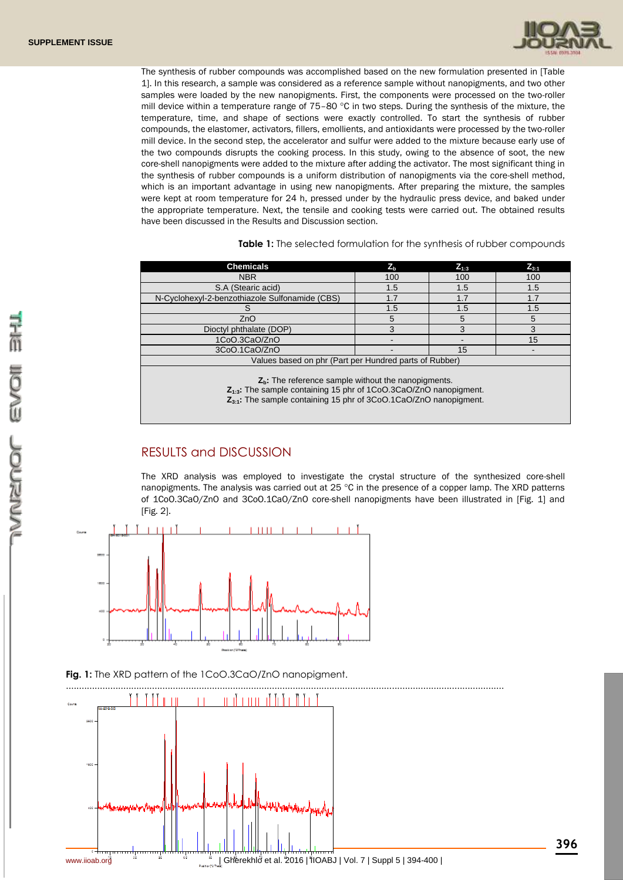

The synthesis of rubber compounds was accomplished based on the new formulation presented in [Table 1]. In this research, a sample was considered as a reference sample without nanopigments, and two other samples were loaded by the new nanopigments. First, the components were processed on the two-roller mill device within a temperature range of  $75-80$  °C in two steps. During the synthesis of the mixture, the temperature, time, and shape of sections were exactly controlled. To start the synthesis of rubber compounds, the elastomer, activators, fillers, emollients, and antioxidants were processed by the two-roller mill device. In the second step, the accelerator and sulfur were added to the mixture because early use of the two compounds disrupts the cooking process. In this study, owing to the absence of soot, the new core-shell nanopigments were added to the mixture after adding the activator. The most significant thing in the synthesis of rubber compounds is a uniform distribution of nanopigments via the core-shell method, which is an important advantage in using new nanopigments. After preparing the mixture, the samples were kept at room temperature for 24 h, pressed under by the hydraulic press device, and baked under the appropriate temperature. Next, the tensile and cooking tests were carried out. The obtained results have been discussed in the Results and Discussion section.

**Table 1:** The selected formulation for the synthesis of rubber compounds

| <b>Chemicals</b>                                                                                                                     | $Z_{\rm b}$ | $Z_{1:3}$ | $Z_{3:1}$ |  |  |  |
|--------------------------------------------------------------------------------------------------------------------------------------|-------------|-----------|-----------|--|--|--|
| <b>NBR</b>                                                                                                                           | 100         | 100       | 100       |  |  |  |
| S.A (Stearic acid)                                                                                                                   | 1.5         | 1.5       | 1.5       |  |  |  |
| N-Cyclohexyl-2-benzothiazole Sulfonamide (CBS)                                                                                       | 1.7         | 1.7       | 1.7       |  |  |  |
|                                                                                                                                      | 1.5         | 1.5       | 1.5       |  |  |  |
| ZnO                                                                                                                                  | 5           | 5         | 5         |  |  |  |
| Dioctyl phthalate (DOP)                                                                                                              | 3           | 3         | 3         |  |  |  |
| 1CoO.3CaO/ZnO                                                                                                                        |             |           | 15        |  |  |  |
| 3CoO.1CaO/ZnO<br>15                                                                                                                  |             |           |           |  |  |  |
| Values based on phr (Part per Hundred parts of Rubber)                                                                               |             |           |           |  |  |  |
| $Zb$ . The reference sample without the nanopigments.<br><b>7</b> $\cdot$ The cample containing 15 phr of 10e0.30e0/7n0 perceptament |             |           |           |  |  |  |

**Z1:3:** The sample containing 15 phr of 1CoO.3CaO/ZnO nanopigment. **Z3:1:** The sample containing 15 phr of 3CoO.1CaO/ZnO nanopigment.

# RESULTS and DISCUSSION

The XRD analysis was employed to investigate the crystal structure of the synthesized core-shell nanopigments. The analysis was carried out at 25  $^{\circ}$ C in the presence of a copper lamp. The XRD patterns of 1CoO.3CaO/ZnO and 3CoO.1CaO/ZnO core-shell nanopigments have been illustrated in [Fig. 1] and [Fig. 2].



**Fig. 1:** The XRD pattern of the 1CoO.3CaO/ZnO nanopigment.



**396**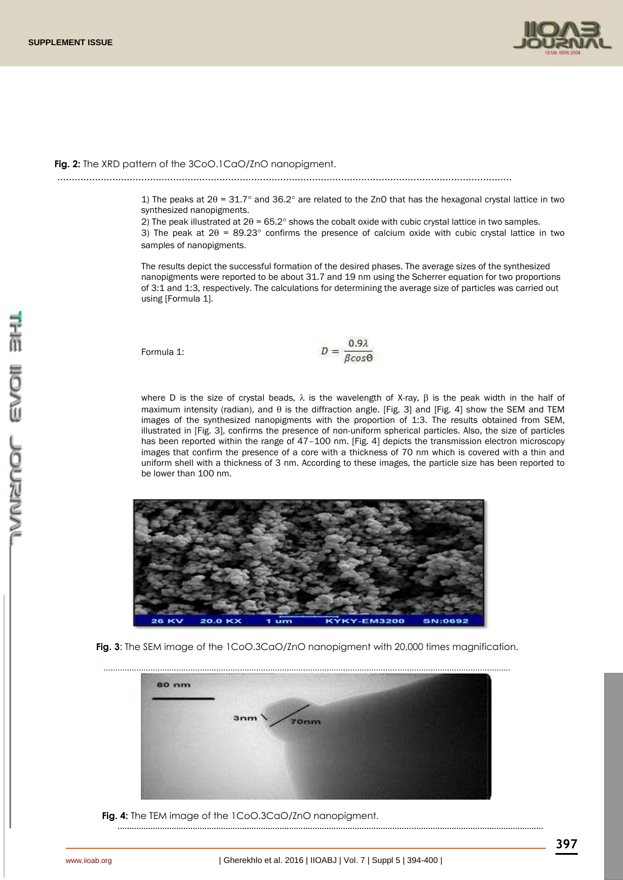

#### **Fig. 2:** The XRD pattern of the 3CoO.1CaO/ZnO nanopigment.

.............................................................................................................................................................

1) The peaks at  $2\theta = 31.7^\circ$  and  $36.2^\circ$  are related to the ZnO that has the hexagonal crystal lattice in two synthesized nanopigments.

2) The peak illustrated at  $2\theta = 65.2^{\circ}$  shows the cobalt oxide with cubic crystal lattice in two samples.

3) The peak at  $2\theta = 89.23^\circ$  confirms the presence of calcium oxide with cubic crystal lattice in two samples of nanopigments.

The results depict the successful formation of the desired phases. The average sizes of the synthesized nanopigments were reported to be about 31.7 and 19 nm using the Scherrer equation for two proportions of 3:1 and 1:3, respectively. The calculations for determining the average size of particles was carried out using [Formula 1].

Formula 1:

$$
D = \frac{0.9\lambda}{6\cos\theta}
$$

where D is the size of crystal beads,  $\lambda$  is the wavelength of X-ray,  $\beta$  is the peak width in the half of maximum intensity (radian), and  $\theta$  is the diffraction angle. [Fig. 3] and [Fig. 4] show the SEM and TEM images of the synthesized nanopigments with the proportion of 1:3. The results obtained from SEM, illustrated in [Fig. 3], confirms the presence of non-uniform spherical particles. Also, the size of particles has been reported within the range of 47-100 nm. [Fig. 4] depicts the transmission electron microscopy images that confirm the presence of a core with a thickness of 70 nm which is covered with a thin and uniform shell with a thickness of 3 nm. According to these images, the particle size has been reported to be lower than 100 nm.



**Fig. 3:** The SEM image of the 1CoO.3CaO/ZnO nanopigment with 20,000 times magnification.



 **Fig. 4:** The TEM image of the 1CoO.3CaO/ZnO nanopigment.

.....................................................................................................................................................................................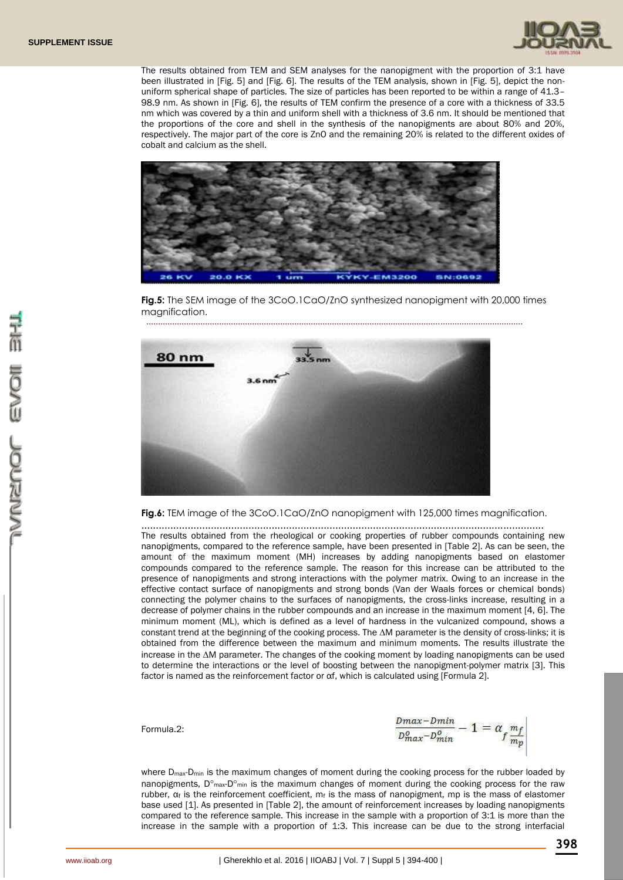

The results obtained from TEM and SEM analyses for the nanopigment with the proportion of 3:1 have been illustrated in [Fig. 5] and [Fig. 6]. The results of the TEM analysis, shown in [Fig. 5], depict the nonuniform spherical shape of particles. The size of particles has been reported to be within a range of 41.3– 98.9 nm. As shown in [Fig. 6], the results of TEM confirm the presence of a core with a thickness of 33.5 nm which was covered by a thin and uniform shell with a thickness of 3.6 nm. It should be mentioned that the proportions of the core and shell in the synthesis of the nanopigments are about 80% and 20%, respectively. The major part of the core is ZnO and the remaining 20% is related to the different oxides of cobalt and calcium as the shell.



**Fig.5:** The SEM image of the 3CoO.1CaO/ZnO synthesized nanopigment with 20,000 times magnification.

................................................................................................................................................................



**Fig.6:** TEM image of the 3CoO.1CaO/ZnO nanopigment with 125,000 times magnification.

........................................................................................................................................... The results obtained from the rheological or cooking properties of rubber compounds containing new nanopigments, compared to the reference sample, have been presented in [Table 2]. As can be seen, the amount of the maximum moment (MH) increases by adding nanopigments based on elastomer compounds compared to the reference sample. The reason for this increase can be attributed to the presence of nanopigments and strong interactions with the polymer matrix. Owing to an increase in the effective contact surface of nanopigments and strong bonds (Van der Waals forces or chemical bonds) connecting the polymer chains to the surfaces of nanopigments, the cross-links increase, resulting in a decrease of polymer chains in the rubber compounds and an increase in the maximum moment [4, 6]. The minimum moment (ML), which is defined as a level of hardness in the vulcanized compound, shows a constant trend at the beginning of the cooking process. The  $\Delta M$  parameter is the density of cross-links; it is obtained from the difference between the maximum and minimum moments. The results illustrate the increase in the  $\Delta M$  parameter. The changes of the cooking moment by loading nanopigments can be used to determine the interactions or the level of boosting between the nanopigment-polymer matrix [3]. This factor is named as the reinforcement factor or  $\alpha$ f, which is calculated using [Formula 2].

Formula.2:

 $\frac{\textit{Dmax}-\textit{Dmin}}{\textit{D}_{\textit{max}}^{\textit{O}}-\textit{D}_{\textit{min}}^{\textit{O}}}-1=\alpha_f \frac{\textit{m}_f}{\textit{m}_p}$ 

where  $D_{\text{max}}$ - $D_{\text{min}}$  is the maximum changes of moment during the cooking process for the rubber loaded by nanopigments,  $D^{\circ}$ <sub>max</sub>-D $^{\circ}$ <sub>min</sub> is the maximum changes of moment during the cooking process for the raw rubber,  $\alpha_f$  is the reinforcement coefficient,  $m_f$  is the mass of nanopigment, mp is the mass of elastomer base used [1]. As presented in [Table 2], the amount of reinforcement increases by loading nanopigments compared to the reference sample. This increase in the sample with a proportion of 3:1 is more than the increase in the sample with a proportion of 1:3. This increase can be due to the strong interfacial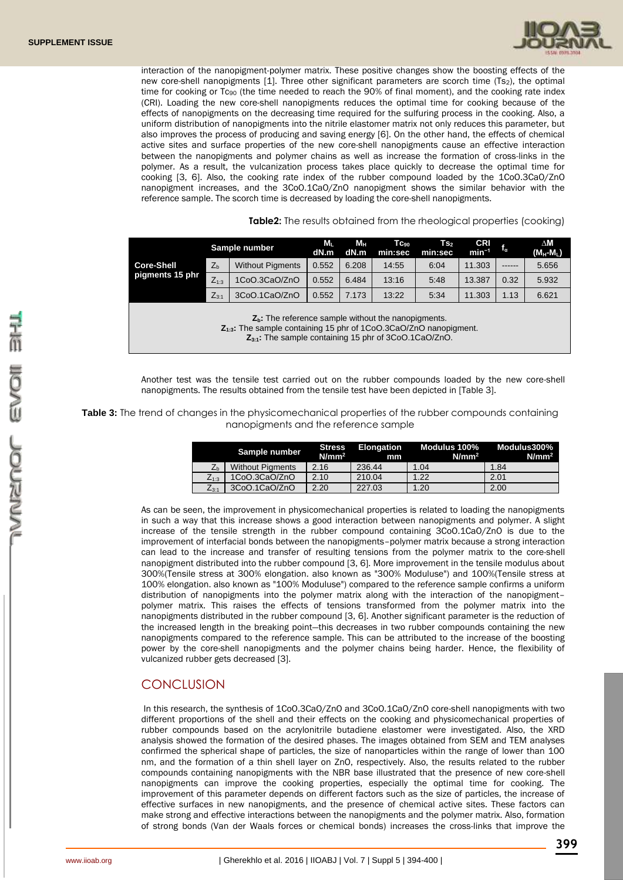

interaction of the nanopigment-polymer matrix. These positive changes show the boosting effects of the new core-shell nanopigments [1]. Three other significant parameters are scorch time (Ts2), the optimal time for cooking or  $Tc_{90}$  (the time needed to reach the 90% of final moment), and the cooking rate index (CRI). Loading the new core-shell nanopigments reduces the optimal time for cooking because of the effects of nanopigments on the decreasing time required for the sulfuring process in the cooking. Also, a uniform distribution of nanopigments into the nitrile elastomer matrix not only reduces this parameter, but also improves the process of producing and saving energy [6]. On the other hand, the effects of chemical active sites and surface properties of the new core-shell nanopigments cause an effective interaction between the nanopigments and polymer chains as well as increase the formation of cross-links in the polymer. As a result, the vulcanization process takes place quickly to decrease the optimal time for cooking [3, 6]. Also, the cooking rate index of the rubber compound loaded by the 1CoO.3CaO/ZnO nanopigment increases, and the 3CoO.1CaO/ZnO nanopigment shows the similar behavior with the reference sample. The scorch time is decreased by loading the core-shell nanopigments.

**Table2:** The results obtained from the rheological properties (cooking)

|                                                                                                                                                                                               |                | Sample number           | M,<br>dN.m | Mн<br>dN.m | $Tc_{90}$<br>min:sec | Ts,<br>min:sec | <b>CRI</b><br>$min^{-1}$ | $\mathsf{f}_\alpha$ | $\Delta M$<br>(M <sub>H</sub> -M <sub>L</sub> ) |
|-----------------------------------------------------------------------------------------------------------------------------------------------------------------------------------------------|----------------|-------------------------|------------|------------|----------------------|----------------|--------------------------|---------------------|-------------------------------------------------|
| <b>Core-Shell</b>                                                                                                                                                                             | Z <sub>h</sub> | <b>Without Pigments</b> | 0.552      | 6.208      | 14:55                | 6:04           | 11.303                   | ------              | 5.656                                           |
| pigments 15 phr                                                                                                                                                                               | $Z_{1:3}$      | 1CoO.3CaO/ZnO           | 0.552      | 6.484      | 13:16                | 5:48           | 13.387                   | 0.32                | 5.932                                           |
|                                                                                                                                                                                               | $Z_{3:1}$      | 3CoO.1CaO/ZnO           | 0.552      | 7.173      | 13:22                | 5:34           | 11.303                   | 1.13                | 6.621                                           |
| $Zb$ . The reference sample without the nanopigments.<br>$Z_{1:3}$ . The sample containing 15 phr of 1CoO.3CaO/ZnO nanopigment.<br>$Z_{3:1}$ : The sample containing 15 phr of 3CoO.1CaO/ZnO. |                |                         |            |            |                      |                |                          |                     |                                                 |

Another test was the tensile test carried out on the rubber compounds loaded by the new core-shell nanopigments. The results obtained from the tensile test have been depicted in [Table 3].

**Table 3:** The trend of changes in the physicomechanical properties of the rubber compounds containing nanopigments and the reference sample

| Sample number |                | Stress<br>$N/mm^2$      | Elongation<br>mm | Modulus 100%<br>$N/mm^2$ | Modulus300%<br>$N/mm^2$ |      |
|---------------|----------------|-------------------------|------------------|--------------------------|-------------------------|------|
|               | Z <sub>b</sub> | <b>Without Pigments</b> | 2.16             | 236.44                   | 1.04                    | 1.84 |
|               | $Z_{1:3}$      | 1CoO.3CaO/ZnO           | 2.10             | 210.04                   | 1.22                    | 2.01 |
|               | $Z_{3:1}$      | 3CoO.1CaO/ZnO           | 2.20             | 227.03                   | 1.20                    | 2.00 |

As can be seen, the improvement in physicomechanical properties is related to loading the nanopigments in such a way that this increase shows a good interaction between nanopigments and polymer. A slight increase of the tensile strength in the rubber compound containing 3CoO.1CaO/ZnO is due to the improvement of interfacial bonds between the nanopigments–polymer matrix because a strong interaction can lead to the increase and transfer of resulting tensions from the polymer matrix to the core-shell nanopigment distributed into the rubber compound [3, 6]. More improvement in the tensile modulus about 300%(Tensile stress at 300% elongation. also known as "300% Moduluse") and 100%(Tensile stress at 100% elongation. also known as "100% Moduluse") compared to the reference sample confirms a uniform distribution of nanopigments into the polymer matrix along with the interaction of the nanopigment– polymer matrix. This raises the effects of tensions transformed from the polymer matrix into the nanopigments distributed in the rubber compound [3, 6]. Another significant parameter is the reduction of the increased length in the breaking point—this decreases in two rubber compounds containing the new nanopigments compared to the reference sample. This can be attributed to the increase of the boosting power by the core-shell nanopigments and the polymer chains being harder. Hence, the flexibility of vulcanized rubber gets decreased [3].

### **CONCLUSION**

In this research, the synthesis of 1CoO.3CaO/ZnO and 3CoO.1CaO/ZnO core-shell nanopigments with two different proportions of the shell and their effects on the cooking and physicomechanical properties of rubber compounds based on the acrylonitrile butadiene elastomer were investigated. Also, the XRD analysis showed the formation of the desired phases. The images obtained from SEM and TEM analyses confirmed the spherical shape of particles, the size of nanoparticles within the range of lower than 100 nm, and the formation of a thin shell layer on ZnO, respectively. Also, the results related to the rubber compounds containing nanopigments with the NBR base illustrated that the presence of new core-shell nanopigments can improve the cooking properties, especially the optimal time for cooking. The improvement of this parameter depends on different factors such as the size of particles, the increase of effective surfaces in new nanopigments, and the presence of chemical active sites. These factors can make strong and effective interactions between the nanopigments and the polymer matrix. Also, formation of strong bonds (Van der Waals forces or chemical bonds) increases the cross-links that improve the